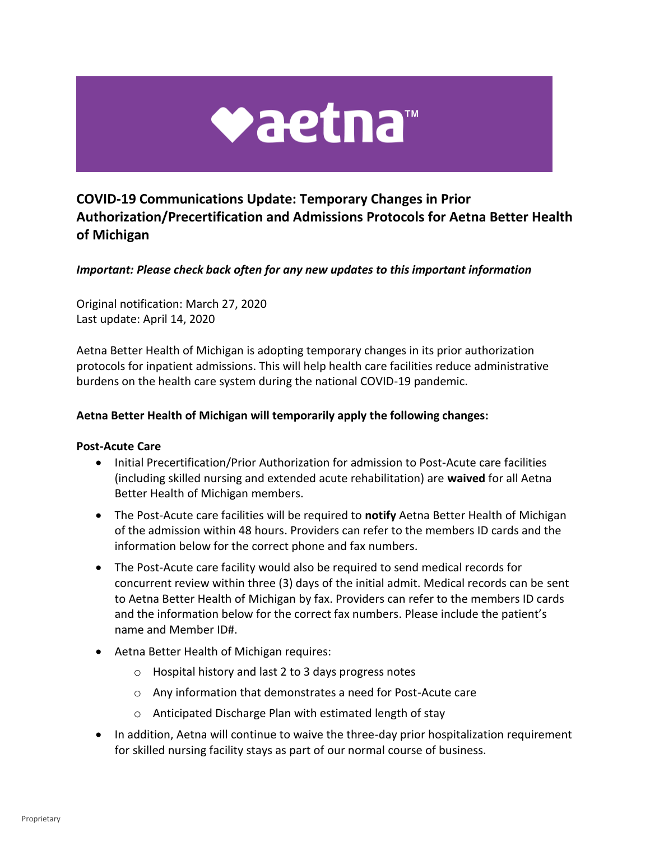

# **COVID-19 Communications Update: Temporary Changes in Prior Authorization/Precertification and Admissions Protocols for Aetna Better Health of Michigan**

# *Important: Please check back often for any new updates to this important information*

 Original notification: March 27, 2020 Last update: April 14, 2020

 Aetna Better Health of Michigan is adopting temporary changes in its prior authorization protocols for inpatient admissions. This will help health care facilities reduce administrative burdens on the health care system during the national COVID-19 pandemic.

#### **Aetna Better Health of Michigan will temporarily apply the following changes:**

#### **Post-Acute Care**

- • Initial Precertification/Prior Authorization for admission to Post-Acute care facilities (including skilled nursing and extended acute rehabilitation) are **waived** for all Aetna Better Health of Michigan members.
- • The Post-Acute care facilities will be required to **notify** Aetna Better Health of Michigan of the admission within 48 hours. Providers can refer to the members ID cards and the information below for the correct phone and fax numbers.
- • The Post-Acute care facility would also be required to send medical records for concurrent review within three (3) days of the initial admit. Medical records can be sent to Aetna Better Health of Michigan by fax. Providers can refer to the members ID cards and the information below for the correct fax numbers. Please include the patient's name and Member ID#.
- • Aetna Better Health of Michigan requires:
	- o Hospital history and last 2 to 3 days progress notes
	- o Any information that demonstrates a need for Post-Acute care
	- o Anticipated Discharge Plan with estimated length of stay
- • In addition, Aetna will continue to waive the three-day prior hospitalization requirement for skilled nursing facility stays as part of our normal course of business.